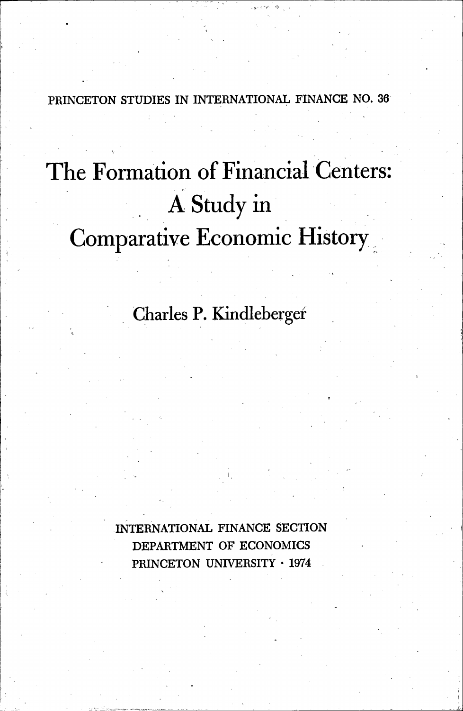PRINCETON STUDIES IN INTERNATIONAL FINANCE NO. 36

# The Formation of Financial Centers: <sup>A</sup>Study in Comparative Economic History

Charles P. Kindlebergei

INTERNATIONAL FINANCE SECTION DEPARTMENT OF ECONOMICS PRINCETON UNIVERSITY • 1974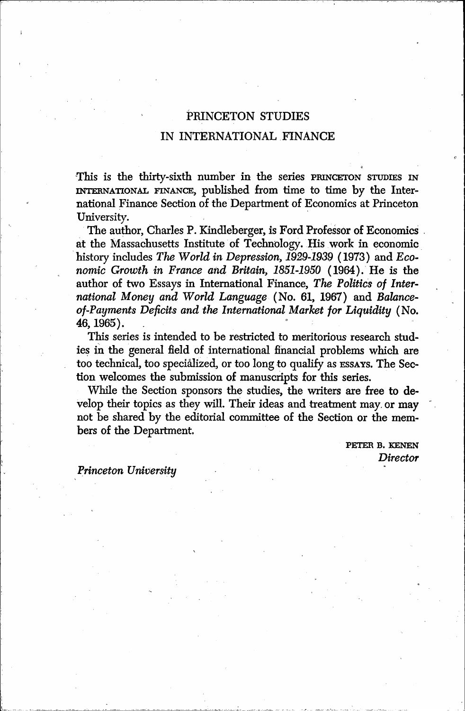#### PRINCETON STUDIES

### IN INTERNATIONAL FINANCE

This is the thirty-sixth number in the series PRINCETON STUDIES IN INTERNATIONAL FINANCE, published from time to time by the International Finance Section of the Department of Economics at Princeton University.

The author, Charles P. Kindleberger, is Ford Professor of Economics at the Massachusetts Institute of Technology. His work in economic history includes The World in Depression, 1929-1939 (1973) and Economic Growth in France and Britain, 1851-1950 (1964). He is the author of two Essays in International Finance, The Politics of International Money and World Language (No. 61, 1967) and Balanceof-Payments Deficits and the International Market for Liquidity (No. 46, 1965). .

This series is intended to be restricted to meritorious research studies in the general field of international financial problems which are too technical, too specialized, or too long to qualify as ESSAYS. The Section welcomes the submission of manuscripts for this series.

While the Section sponsors the studies, the writers are free to develop their topics as they will. Their ideas and treatment may. or may not be shared by the editorial committee of the Section or the members of the Department.

> PETER B. KENEN Director

#### Princeton University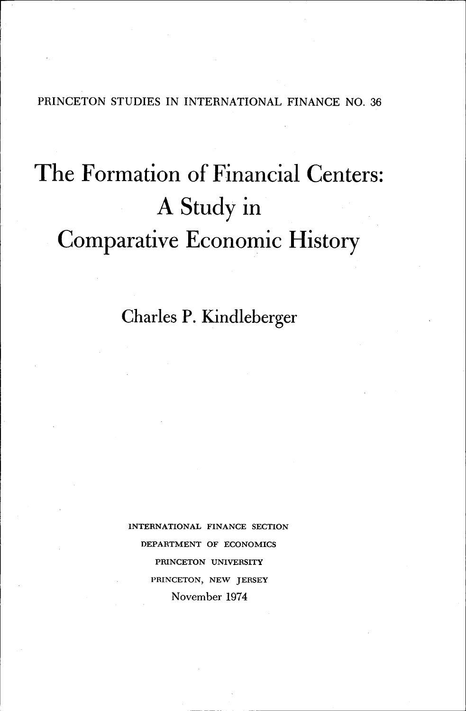PRINCETON STUDIES IN INTERNATIONAL FINANCE NO. 36

# The Formation of Financial Centers: A Study in Comparative Economic History

Charles P. Kindleberger

INTERNATIONAL FINANCE SECTION DEPARTMENT OF ECONOMICS PRINCETON UNIVERSITY PRINCETON, NEW JERSEY November 1974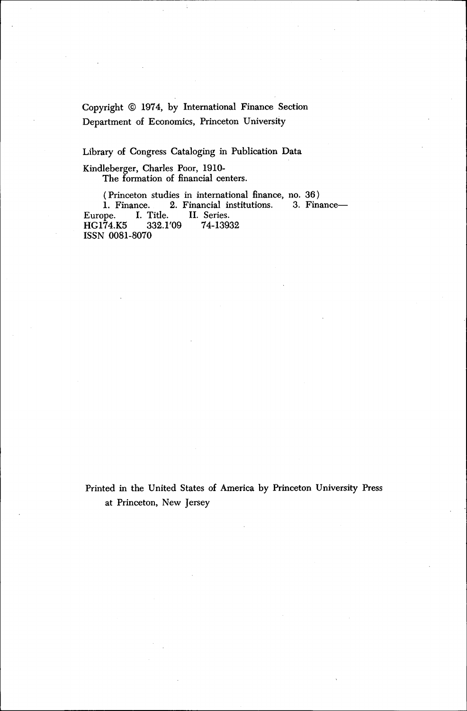Copyright  $© 1974$ , by International Finance Section Department of Economics, Princeton University

Library of Congress Cataloging in Publication Data

Kindleberger, Charles Poor, 1910- The formation of financial centers.

( Princeton studies in international finance, no. 36) nce. 2. Financial institutions.<br>
1. Title. II. Series. Europe. I. Title. II. Series.<br>HG174.K5 332.1'09 74-13932 HG174.K5 ISSN 0081-8070

Printed in the United States of America by Princeton University Press at Princeton, New Jersey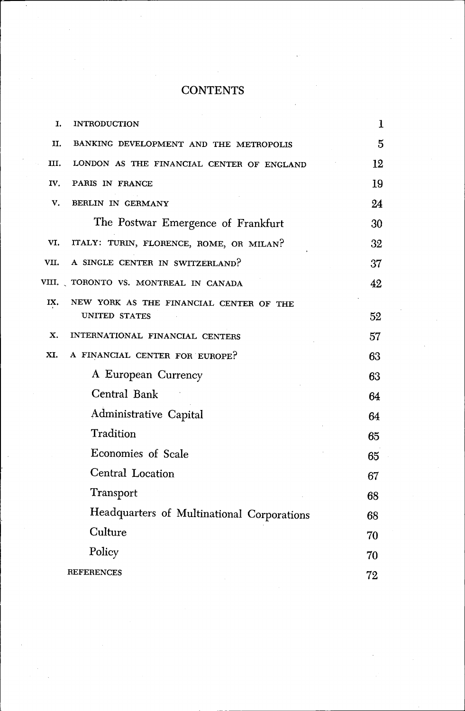## **CONTENTS**

| I.    | <b>INTRODUCTION</b>                                      | 1  |
|-------|----------------------------------------------------------|----|
| п.    | BANKING DEVELOPMENT AND THE METROPOLIS                   | 5  |
| III.  | LONDON AS THE FINANCIAL CENTER OF ENGLAND                | 12 |
| IV.   | PARIS IN FRANCE                                          | 19 |
| v.    | BERLIN IN GERMANY                                        | 24 |
|       | The Postwar Emergence of Frankfurt                       | 30 |
| VI.   | ITALY: TURIN, FLORENCE, ROME, OR MILAN?                  | 32 |
| VII.  | A SINGLE CENTER IN SWITZERLAND?                          | 37 |
| VIII. | TORONTO VS. MONTREAL IN CANADA                           | 42 |
| IX.   | NEW YORK AS THE FINANCIAL CENTER OF THE<br>UNITED STATES | 52 |
| X.    | INTERNATIONAL FINANCIAL CENTERS                          | 57 |
| XI.   | A FINANCIAL CENTER FOR EUROPE?                           | 63 |
|       | A European Currency                                      | 63 |
|       | Central Bank                                             | 64 |
|       | Administrative Capital                                   | 64 |
|       | Tradition                                                | 65 |
|       | Economies of Scale                                       | 65 |
|       | Central Location                                         | 67 |
|       | Transport                                                | 68 |
|       | Headquarters of Multinational Corporations               | 68 |
|       | Culture                                                  | 70 |
|       | Policy                                                   | 70 |
|       | <b>REFERENCES</b>                                        | 72 |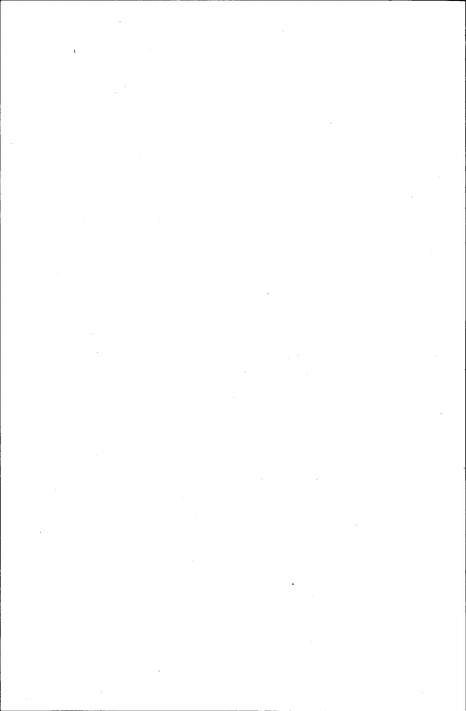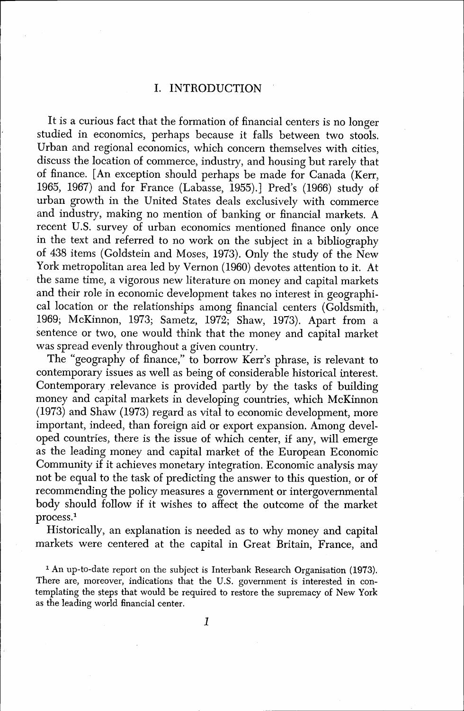## I. INTRODUCTION

It is a curious fact that the formation of financial centers is no longer studied in economics, perhaps because it falls between two stools. Urban and regional economics, which concern themselves with cities, discuss the location of commerce, industry, and housing but rarely that of finance. [An exception should perhaps be made for Canada (Kerr, 1965, 1967) and for France (Labasse, 1955).] Fred's (1966) study of urban growth in the United States deals exclusively with commerce and industry, making no mention of banking or financial markets. A recent U.S. survey of urban economics mentioned finance only once in the text and referred to no work on the subject in a bibliography of 438 items (Goldstein and Moses, 1973). Only the study of the New York metropolitan area led by Vernon (1960) devotes attention to it. At the same time, a vigorous new literature on money and capital markets and their role in economic development takes no interest in geographical location or the relationships among financial centers (Goldsmith, 1969; McKinnon, 1973; Sametz, 1972; Shaw, 1973). Apart from a sentence or two, one would think that the money and capital market was spread evenly throughout a given country.

The "geography of finance," to borrow Kerr's phrase, is relevant to contemporary issues as well as being of considerable historical interest. Contemporary relevance is provided partly by the tasks of building money and capital markets in developing countries, which McKinnon (1973) and Shaw (1973) regard as vital to economic development, more important, indeed, than foreign aid or export expansion. Among developed countries, there is the issue of which center, if any, will emerge as the leading money and capital market of the European Economic Community if it achieves monetary integration. Economic analysis may not be equal to the task of predicting the answer to this question, or of recommending the policy measures a government or intergovernmental body should follow if it wishes to affect the outcome of the market process.<sup>1</sup>

Historically, an explanation is needed as to why money and capital markets were centered at the capital in Great Britain, France, and

<sup>1</sup> An up-to-date report on the subject is Interbank Research Organisation (1973). There are, moreover, indications that the U.S. government is interested in contemplating the steps that would be required to restore the supremacy of New York as the leading world financial center.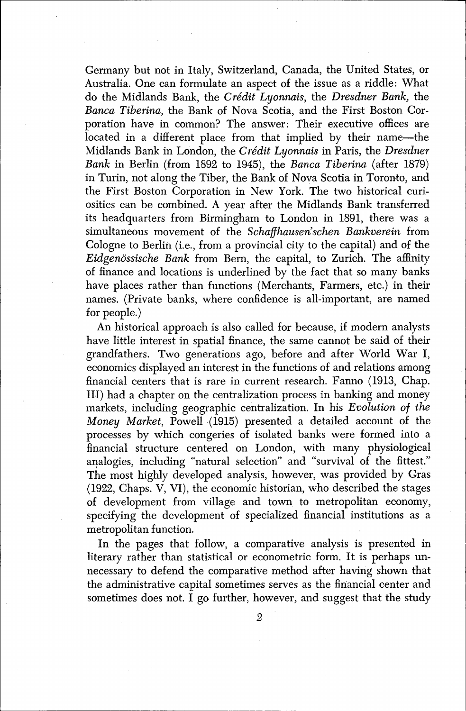Germany but not in Italy, Switzerland, Canada, the United States, or Australia. One can formulate an aspect of the issue as a riddle: What do the Midlands Bank, the Crédit Lyonnais, the Dresdner Bank, the Banca Tiberina, the Bank of Nova Scotia, and the First Boston Corporation have in common? The answer: Their executive offices are located in a different place from that implied by their name—the Midlands Bank in London, the Crédit Lyonnais in Paris, the Dresdner Bank in Berlin (from 1892 to 1945), the Banca Tiberina (after 1879) in Turin, not along the Tiber, the Bank of Nova Scotia in Toronto, and the First Boston Corporation in New York. The two historical curiosities can be combined. A year after the Midlands Bank transferred its headquarters from Birmingham to London in 1891, there was a simultaneous movement of the Schaffhausen'schen Bankverein from Cologne to Berlin (i.e., from a provincial city to the capital) and of the Eidgenössische Bank from Bern, the capital, to Zurich. The affinity of finance and locations is underlined by the fact that so many banks have places rather than functions (Merchants, Farmers, etc.) in their names. (Private banks, where confidence is all-important, are named for people.)

An historical approach is also called for because, if modern analysts have little interest in spatial finance, the same cannot be said of their grandfathers. Two generations ago, before and after World War I, economics displayed an interest in the functions of and relations among financial centers that is rare in current research. Fanno (1913, Chap. III) had a chapter on the centralization process in banking and money markets, including geographic centralization. In his Evolution of the Money Market, Powell (1915) presented a detailed account of the processes by which congeries of isolated banks were formed into a financial structure centered on London, with many physiological analogies, including "natural selection" and "survival of the fittest." The most highly developed analysis, however, was provided by Gras (1922, Chaps. V, VI), the economic historian, who described the stages of development from village and town to metropolitan economy, specifying the development of specialized financial institutions as a metropolitan function.

In the pages that follow, a comparative analysis is presented in literary rather than statistical or econometric form. It is perhaps unnecessary to defend the comparative method after having shown that the administrative capital sometimes serves as the financial center and sometimes does not. I go further, however, and suggest that the study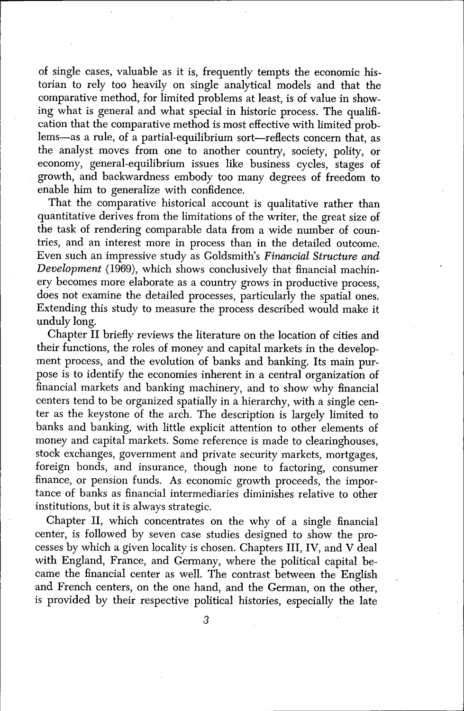of single cases, valuable as it is, frequently tempts the economic historian to rely too heavily on single analytical models and that the comparative method, for limited problems at least, is of value in showing what is general and what special in historic process. The qualification that the comparative method is most effective with limited problems—as a rule, of a partial-equilibrium sort—reflects concern that, as the analyst moves from one to another country, society, polity, or economy, general-equilibrium issues like business cycles, stages of growth, and backwardness embody too many degrees of freedom to enable him to generalize with confidence.

That the comparative historical account is qualitative rather than quantitative derives from the limitations of the writer, the great size of the task of rendering comparable data from a wide number of countries, and an interest more in process than in the detailed outcome. Even such an impressive study as Goldsmith's Financial Structure and Development (1969), which shows conclusively that financial machinery becomes more elaborate as a country grows in productive process, does not examine the detailed processes, particularly the spatial ones. Extending this study to measure the process described would make it unduly long.

Chapter II briefly reviews the literature on the location of cities and their functions, the roles of money and capital markets in the development process, and the evolution of banks and banking. Its main purpose is to identify the economies inherent in a central organization of financial markets and banking machinery, and to show why financial centers tend to be organized spatially in a hierarchy, with a single center as the keystone of the arch. The description is largely limited to banks and banking, with little explicit attention to other elements of money and capital markets. Some reference is made to clearinghouses, stock exchanges, government and private security markets, mortgages, foreign bonds, and insurance, though none to factoring, consumer finance, or pension funds. As economic growth proceeds, the importance of banks as financial intermediaries diminishes relative to other institutions, but it is always strategic.

Chapter II, which concentrates on the why of a single financial center, is followed by seven case studies designed to show the processes by which a given locality is chosen. Chapters III, IV, and V deal with England, France, and Germany, where the political capital became the financial center as well. The contrast between the English and French centers, on the one hand, and the German, on the other, is provided by their respective political histories, especially the late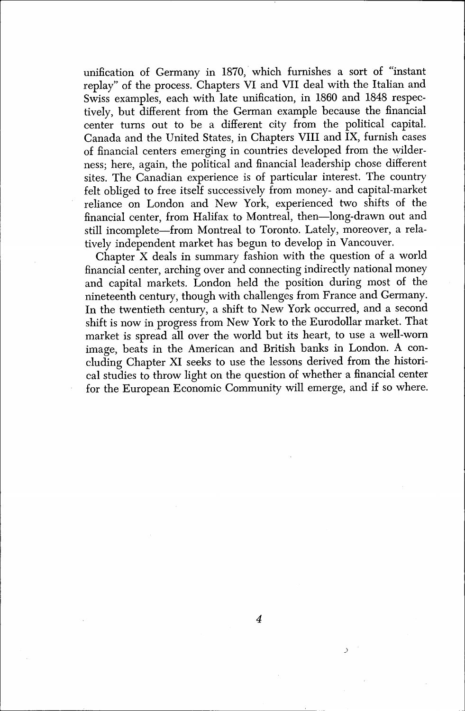unification of Germany in 1870, which furnishes a sort of "instant replay" of the process. Chapters VI and VII deal with the Italian and Swiss examples, each with late unification, in 1860 and 1848 respectively, but different from the German example because the financial center turns out to be a different city from the political capital. Canada and the United States, in Chapters VIII and IX, furnish cases of financial centers emerging in countries developed from the wilderness; here, again, the political and financial leadership chose different sites. The Canadian experience is of particular interest. The country felt obliged to free itself successively from money- and capital-market reliance on London and New York, experienced two shifts of the financial center, from Halifax to Montreal, then—long-drawn out and still incomplete—from Montreal to Toronto. Lately, moreover, a relatively independent market has begun to develop in Vancouver.

Chapter X deals in summary fashion with the question of a world financial center, arching over and connecting indirectly national money and capital markets. London held the position during most of the nineteenth century, though with challenges from France and Germany. In the twentieth century, a shift to New York occurred, and a second shift is now in progress from New York to the Eurodollar market. That market is spread all over the world but its heart, to use a well-worn image, beats in the American and British banks in London. A concluding Chapter XI seeks to use the lessons derived from the historical studies to throw light on the question of whether a financial center for the European Economic Community will emerge, and if so where.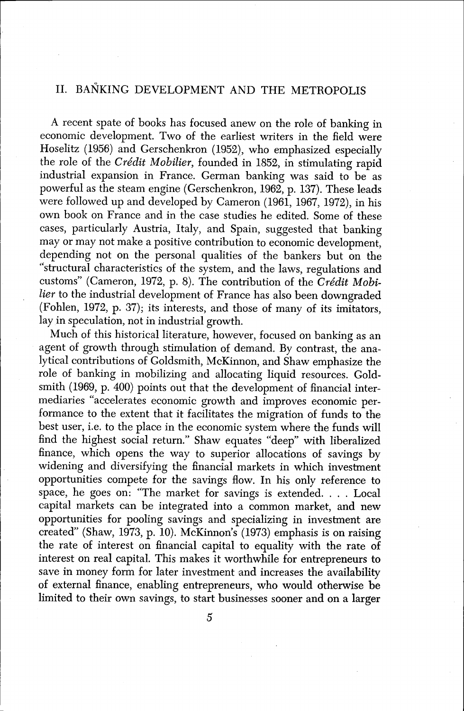## II. BANKING DEVELOPMENT AND THE METROPOLIS

A recent spate of books has focused anew on the role of banking in economic development. Two of the earliest writers in the field were Hoselitz (1956) and Gerschenkron (1952), who emphasized especially the role of the Crédit Mobilier, founded in 1852, in stimulating rapid industrial expansion in France. German banking was said to be as powerful as the steam engine (Gerschenkron, 1962, p. 137). These leads were followed up and developed by Cameron (1961, 1967, 1972), in his own book on France and in the case studies he edited. Some of these cases, particularly Austria, Italy, and Spain, suggested that banking may or may not make a positive contribution to economic development, depending not on the personal qualities of the bankers but on the "structural characteristics of the system, and the laws, regulations and customs" (Cameron, 1972, p. 8). The contribution of the Crédit Mobilier to the industrial development of France has also been downgraded (Fohlen, 1972, p. 37); its interests, and those of many of its imitators, lay in speculation, not in industrial growth.

Much of this historical literature, however, focused on banking as an agent of growth through stimulation of demand. By contrast, the analytical contributions of Goldsmith, McKinnon, and Shaw emphasize the role of banking in mobilizing and allocating liquid resources. Goldsmith (1969, p. 400) points out that the development of financial intermediaries "accelerates economic growth and improves economic performance to the extent that it facilitates the migration of funds to the best user, i.e. to the place in the economic system where the funds will find the highest social return." Shaw equates "deep" with liberalized finance, which opens the way to superior allocations of savings by widening and diversifying the financial markets in which investment opportunities compete for the savings flow. In his only reference to space, he goes on: "The market for savings is extended. . . . Local capital markets can be integrated into a common market, and new opportunities for pooling savings and specializing in investment are created" (Shaw, 1973, p. 10). McKinnon's (1973) emphasis is on raising the rate of interest on financial capital to equality with the rate of interest on real capital. This makes it worthwhile for entrepreneurs to save in money form for later investment and increases the availability of external finance, enabling entrepreneurs, who would otherwise be limited to their own savings, to start businesses sooner and on a larger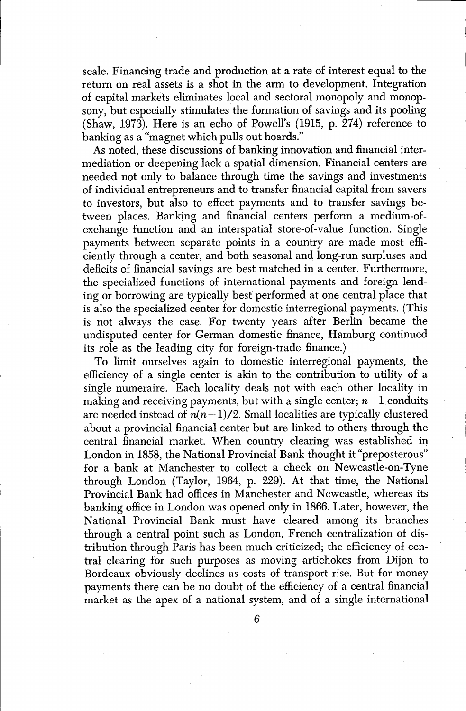scale. Financing trade and production at a rate of interest equal to the return on real assets is a shot in the arm to development. Integration of capital markets eliminates local and sectoral monopoly and monopsony, but especially stimulates the formation of savings and its pooling (Shaw, 1973). Here is an echo of Powell's (1915, p. 274) reference to banking as a "magnet which pulls out hoards."

As noted, these discussions of banking innovation and financial intermediation or deepening lack a spatial dimension. Financial centers are needed not only to balance through time the savings and investments of individual entrepreneurs and to transfer financial capital from savers to investors, but also to effect payments and to transfer savings between places. Banking and financial centers perform a medium-ofexchange function and an interspatial store-of-value function. Single payments between separate points in a country are made most efficiently through a center, and both seasonal and long-run surpluses and deficits of financial savings are best matched in a center. Furthermore, the specialized functions of international payments and foreign lending or borrowing are typically best performed at one central place that is also the specialized center for domestic interregional payments. (This is not always the case. For twenty years after Berlin became the undisputed center for German domestic finance, Hamburg continued its role as the leading city for foreign-trade finance.)

To limit ourselves again to domestic interregional payments, the efficiency of a single center is akin to the contribution to utility of a single numeraire. Each locality deals not with each other locality in making and receiving payments, but with a single center;  $n-1$  conduits are needed instead of  $n(n-1)/2$ . Small localities are typically clustered about a provincial financial center but are linked to others through the central financial market. When country clearing was established in London in 1858, the National Provincial Bank thought it "preposterous" for a bank at Manchester to collect a check on Newcastle-on-Tyne through London (Taylor, 1964, p. 229). At that time, the National Provincial Bank had offices in Manchester and Newcastle, whereas its banking office in London was opened only in 1866. Later, however, the National Provincial Bank must have cleared among its branches through a central point such as London. French centralization of distribution through Paris has been much criticized; the efficiency of central clearing for such purposes as moving artichokes from Dijon to Bordeaux obviously declines as costs of transport rise. But for money payments there can be no doubt of the efficiency of a central financial market as the apex of a national system, and of a single international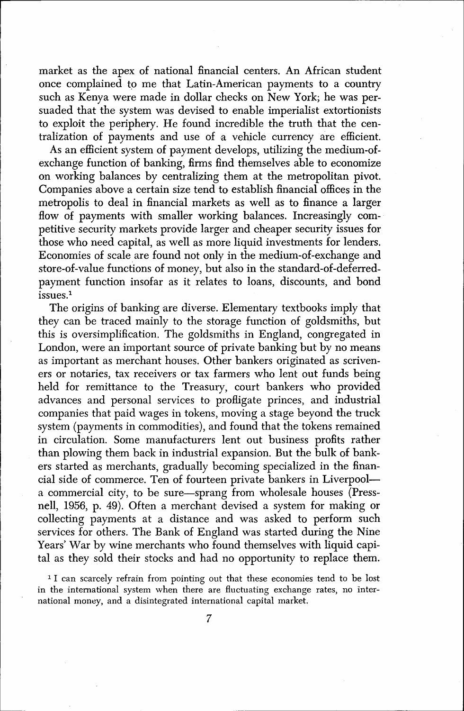market as the apex of national financial centers. An African student once complained to me that Latin-American payments to a country such as Kenya were made in dollar checks on New York; he was persuaded that the system was devised to enable imperialist extortionists to exploit the periphery. He found incredible the truth that the centralization of payments and use of a vehicle currency are efficient.

As an efficient system of payment develops, utilizing the medium-ofexchange function of banking, firms find themselves able to economize on working balances by centralizing them at the metropolitan pivot. Companies above a certain size tend to establish financial offices in the metropolis to deal in financial markets as well as to finance a larger flow of payments with smaller working balances. Increasingly competitive security markets provide larger and cheaper security issues for those who need capital, as well as more liquid investments for lenders. Economies of scale are found not only in the medium-of-exchange and store-of-value functions of money, but also in the standard-of-deferredpayment function insofar as it relates to loans, discounts, and bond issues.1

The origins of banking are diverse. Elementary textbooks imply that they can be traced mainly to the storage function of goldsmiths, but this is oversimplification. The goldsmiths in England, congregated in London, were an important source of private banking but by no means as important as merchant houses. Other bankers originated as scriveners or notaries, tax receivers or tax farmers who lent out funds being held for remittance to the Treasury, court bankers who provided advances and personal services to profligate princes, and industrial companies that paid wages in tokens, moving a stage beyond the truck system (payments in commodities), and found that the tokens remained in circulation. Some manufacturers lent out business profits rather than plowing them back in industrial expansion. But the bulk of bankers started as merchants, gradually becoming specialized in the financial side of commerce. Ten of fourteen private bankers in Liverpool a commercial city, to be sure—sprang from wholesale houses (Pressnell, 1956, p. 49). Often a merchant devised a system for making or collecting payments at a distance and was asked to perform such services for others. The Bank of England was started during the Nine Years' War by wine merchants who found themselves with liquid capital as they sold their stocks and had no opportunity to replace them.

<sup>1</sup> I can scarcely refrain from pointing out that these economies tend to be lost in the international system when there are fluctuating exchange rates, no international money, and a disintegrated international capital market.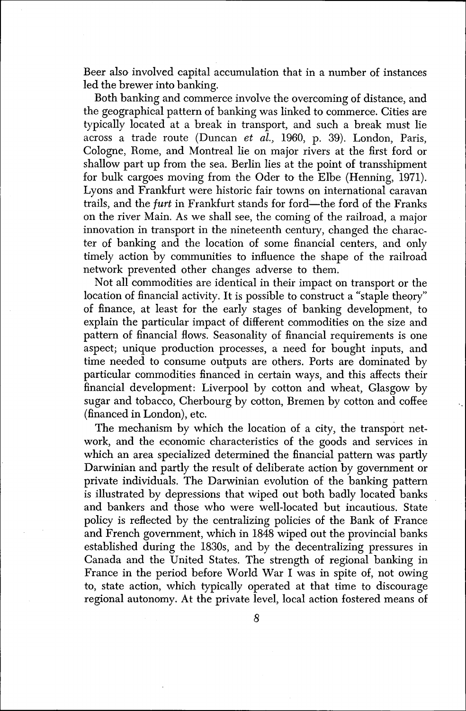Beer also involved capital accumulation that in a number of instances led the brewer into banking.

Both banking and commerce involve the overcoming of distance, and the geographical pattern of banking was linked to commerce. Cities are typically located at a break in transport, and such a break must lie across a trade route (Duncan et al., 1960, p. 39). London, Paris, Cologne, Rome, and Montreal lie on major rivers at the first ford or shallow part up from the sea. Berlin lies at the point of transshipment for bulk cargoes moving from the Oder to the Elbe (Henning, 1971). Lyons and Frankfurt were historic fair towns on international caravan trails, and the furt in Frankfurt stands for ford—the ford of the Franks on the river Main. As we shall see, the coming of the railroad, a major innovation in transport in the nineteenth century, changed the character of banking and the location of some financial centers, and only timely action by communities to influence the shape of the railroad network prevented other changes adverse to them.

Not all commodities are identical in their impact on transport or the location of financial activity. It is possible to construct a "staple theory" of finance, at least for the early stages of banking development, to explain the particular impact of different commodities on the size and pattern of financial flows. Seasonality of financial requirements is one aspect; unique production processes, a need for bought inputs, and time needed to consume outputs are others. Ports are dominated by particular commodities financed in certain ways, and this affects their financial development: Liverpool by cotton and wheat, Glasgow by sugar and tobacco, Cherbourg by cotton, Bremen by cotton and coffee (financed in London), etc.

The mechanism by which the location of a city, the transport network, and the economic characteristics of the goods and services in which an area specialized determined the financial pattern was partly Darwinian and partly the result of deliberate action by government or private individuals. The Darwinian evolution of the banking pattern is illustrated by depressions that wiped out both badly located banks and bankers and those who were well-located but incautious. State policy is reflected by the centralizing policies of the Bank of France and French government, which in 1848 wiped out the provincial banks established during the 1830s, and by the decentralizing pressures in Canada and the United States. The strength of regional banking in France in the period before World War I was in spite of, not owing to, state action, which typically operated at that time to discourage regional autonomy. At the private level, local action fostered means of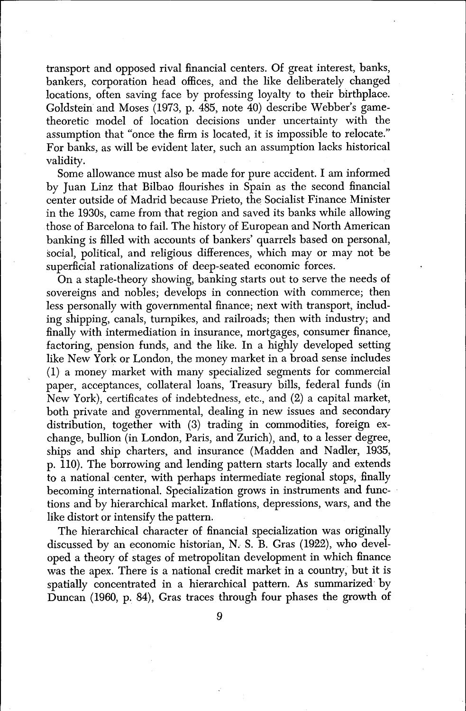transport and opposed rival financial centers. Of great interest, banks, bankers, corporation head offices, and the like deliberately changed locations, often saving face by professing loyalty to their birthplace. Goldstein and Moses (1973, p. 485, note 40) describe Webber's gametheoretic model of location decisions under uncertainty with the assumption that "once the firm is located, it is impossible to relocate." For banks, as will be evident later, such an assumption lacks historical validity.

Some allowance must also be made for pure accident. I am informed by Juan Linz that Bilbao flourishes in Spain as the second financial center outside of Madrid because Prieto, the Socialist Finance Minister in the 1930s, came from that region and saved its banks while allowing those of Barcelona to fail. The history of European and North American banking is filled with accounts of bankers' quarrels based on personal, social, political, and religious differences, which may or may not be superficial rationalizations of deep-seated economic forces.

On a staple-theory showing, banking starts out to serve the needs of sovereigns and nobles; develops in connection with commerce; then less personally with governmental finance; next with transport, including shipping, canals, turnpikes, and railroads; then with industry; and finally with intermediation in insurance, mortgages, consumer finance, factoring, pension funds, and the like. In a highly developed setting like New York or London, the money market in a broad sense includes (1) a money market with many specialized segments for commercial paper, acceptances, collateral loans, Treasury bills, federal funds (in New York), certificates of indebtedness, etc., and (2) a capital market, both private and governmental, dealing in new issues and secondary distribution, together with (3) trading in commodities, foreign exchange, bullion (in London, Paris, and Zurich), and, to a lesser degree, ships and ship charters, and insurance (Madden and Nadler, 1935, p. 110). The borrowing and lending pattern starts locally and extends to a national center, with perhaps intermediate regional stops, finally becoming international. Specialization grows in instruments and functions and by hierarchical market. Inflations, depressions, wars, and the like distort or intensify the pattern.

The hierarchical character of financial specialization was originally discussed by an economic historian, N. S. B. Gras (1922), who developed a theory of stages of metropolitan development in which finance was the apex. There is a national credit market in a country, but it is spatially concentrated in a hierarchical pattern. As summarized by Duncan (1960, p. 84), Gras traces through four phases the growth of